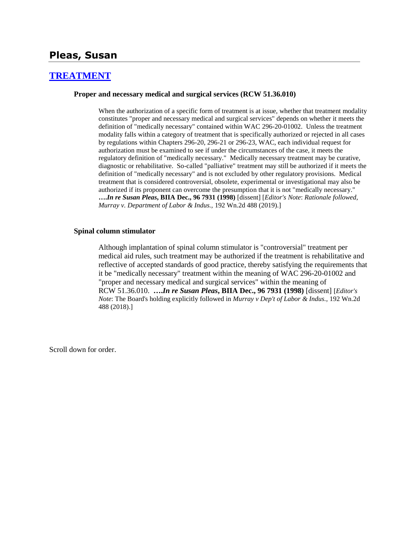## **Pleas, Susan**

### **[TREATMENT](http://www.biia.wa.gov/SDSubjectIndex.html#TREATMENT)**

#### **Proper and necessary medical and surgical services (RCW 51.36.010)**

When the authorization of a specific form of treatment is at issue, whether that treatment modality constitutes "proper and necessary medical and surgical services" depends on whether it meets the definition of "medically necessary" contained within WAC 296-20-01002. Unless the treatment modality falls within a category of treatment that is specifically authorized or rejected in all cases by regulations within Chapters 296-20, 296-21 or 296-23, WAC, each individual request for authorization must be examined to see if under the circumstances of the case, it meets the regulatory definition of "medically necessary." Medically necessary treatment may be curative, diagnostic or rehabilitative. So-called "palliative" treatment may still be authorized if it meets the definition of "medically necessary" and is not excluded by other regulatory provisions. Medical treatment that is considered controversial, obsolete, experimental or investigational may also be authorized if its proponent can overcome the presumption that it is not "medically necessary." **….***In re Susan Pleas***, BIIA Dec., 96 7931 (1998)** [dissent] [*Editor's Note*: *Rationale followed, Murray v. Department of Labor & Indus.,* 192 Wn.2d 488 (2019).]

#### **Spinal column stimulator**

Although implantation of spinal column stimulator is "controversial" treatment per medical aid rules, such treatment may be authorized if the treatment is rehabilitative and reflective of accepted standards of good practice, thereby satisfying the requirements that it be "medically necessary" treatment within the meaning of WAC 296-20-01002 and "proper and necessary medical and surgical services" within the meaning of RCW 51.36.010. **….***In re Susan Pleas***, BIIA Dec., 96 7931 (1998)** [dissent] [*Editor's Note*: The Board's holding explicitly followed in *Murray v Dep't of Labor & Indus.,* 192 Wn.2d 488 (2018).]

Scroll down for order.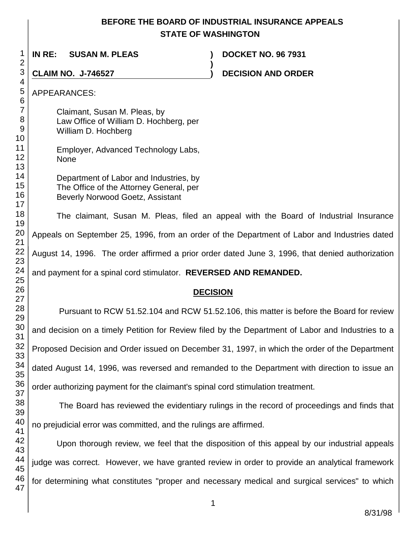# **BEFORE THE BOARD OF INDUSTRIAL INSURANCE APPEALS STATE OF WASHINGTON**

**IN RE: SUSAN M. PLEAS ) DOCKET NO. 96 7931 ) CLAIM NO. J-746527 ) DECISION AND ORDER**  APPEARANCES: Claimant, Susan M. Pleas, by Law Office of William D. Hochberg, per William D. Hochberg Employer, Advanced Technology Labs, None Department of Labor and Industries, by The Office of the Attorney General, per Beverly Norwood Goetz, Assistant The claimant, Susan M. Pleas, filed an appeal with the Board of Industrial Insurance Appeals on September 25, 1996, from an order of the Department of Labor and Industries dated August 14, 1996. The order affirmed a prior order dated June 3, 1996, that denied authorization and payment for a spinal cord stimulator. **REVERSED AND REMANDED. DECISION** Pursuant to RCW 51.52.104 and RCW 51.52.106, this matter is before the Board for review and decision on a timely Petition for Review filed by the Department of Labor and Industries to a Proposed Decision and Order issued on December 31, 1997, in which the order of the Department

dated August 14, 1996, was reversed and remanded to the Department with direction to issue an order authorizing payment for the claimant's spinal cord stimulation treatment.

The Board has reviewed the evidentiary rulings in the record of proceedings and finds that no prejudicial error was committed, and the rulings are affirmed.

Upon thorough review, we feel that the disposition of this appeal by our industrial appeals judge was correct. However, we have granted review in order to provide an analytical framework for determining what constitutes "proper and necessary medical and surgical services" to which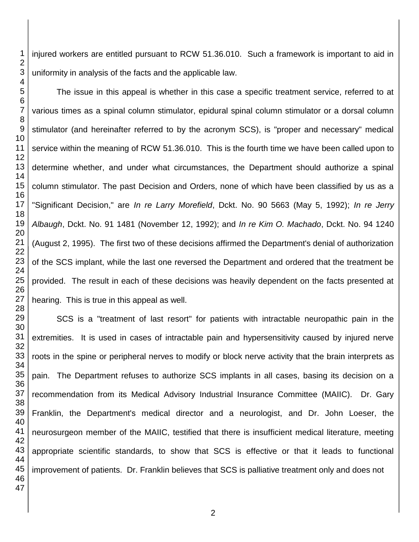injured workers are entitled pursuant to RCW 51.36.010. Such a framework is important to aid in uniformity in analysis of the facts and the applicable law.

The issue in this appeal is whether in this case a specific treatment service, referred to at various times as a spinal column stimulator, epidural spinal column stimulator or a dorsal column stimulator (and hereinafter referred to by the acronym SCS), is "proper and necessary" medical service within the meaning of RCW 51.36.010. This is the fourth time we have been called upon to determine whether, and under what circumstances, the Department should authorize a spinal column stimulator. The past Decision and Orders, none of which have been classified by us as a "Significant Decision," are *In re Larry Morefield*, Dckt. No. 90 5663 (May 5, 1992); *In re Jerry Albaugh*, Dckt. No. 91 1481 (November 12, 1992); and *In re Kim O. Machado*, Dckt. No. 94 1240 (August 2, 1995). The first two of these decisions affirmed the Department's denial of authorization of the SCS implant, while the last one reversed the Department and ordered that the treatment be provided. The result in each of these decisions was heavily dependent on the facts presented at hearing. This is true in this appeal as well.

SCS is a "treatment of last resort" for patients with intractable neuropathic pain in the extremities. It is used in cases of intractable pain and hypersensitivity caused by injured nerve roots in the spine or peripheral nerves to modify or block nerve activity that the brain interprets as pain. The Department refuses to authorize SCS implants in all cases, basing its decision on a recommendation from its Medical Advisory Industrial Insurance Committee (MAIIC). Dr. Gary Franklin, the Department's medical director and a neurologist, and Dr. John Loeser, the neurosurgeon member of the MAIIC, testified that there is insufficient medical literature, meeting appropriate scientific standards, to show that SCS is effective or that it leads to functional improvement of patients. Dr. Franklin believes that SCS is palliative treatment only and does not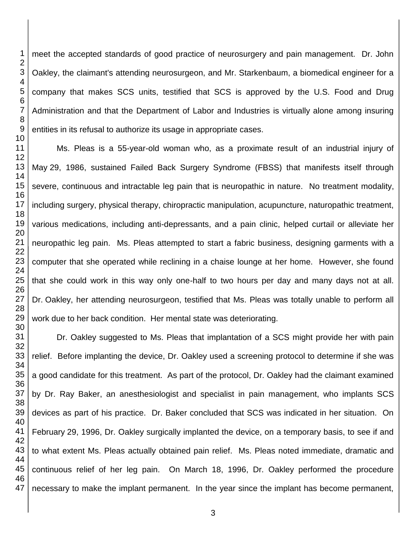meet the accepted standards of good practice of neurosurgery and pain management. Dr. John Oakley, the claimant's attending neurosurgeon, and Mr. Starkenbaum, a biomedical engineer for a company that makes SCS units, testified that SCS is approved by the U.S. Food and Drug Administration and that the Department of Labor and Industries is virtually alone among insuring entities in its refusal to authorize its usage in appropriate cases.

Ms. Pleas is a 55-year-old woman who, as a proximate result of an industrial injury of May 29, 1986, sustained Failed Back Surgery Syndrome (FBSS) that manifests itself through severe, continuous and intractable leg pain that is neuropathic in nature. No treatment modality, including surgery, physical therapy, chiropractic manipulation, acupuncture, naturopathic treatment, various medications, including anti-depressants, and a pain clinic, helped curtail or alleviate her neuropathic leg pain. Ms. Pleas attempted to start a fabric business, designing garments with a computer that she operated while reclining in a chaise lounge at her home. However, she found that she could work in this way only one-half to two hours per day and many days not at all. Dr. Oakley, her attending neurosurgeon, testified that Ms. Pleas was totally unable to perform all work due to her back condition. Her mental state was deteriorating.

 Dr. Oakley suggested to Ms. Pleas that implantation of a SCS might provide her with pain relief. Before implanting the device, Dr. Oakley used a screening protocol to determine if she was a good candidate for this treatment. As part of the protocol, Dr. Oakley had the claimant examined by Dr. Ray Baker, an anesthesiologist and specialist in pain management, who implants SCS devices as part of his practice. Dr. Baker concluded that SCS was indicated in her situation. On February 29, 1996, Dr. Oakley surgically implanted the device, on a temporary basis, to see if and to what extent Ms. Pleas actually obtained pain relief. Ms. Pleas noted immediate, dramatic and continuous relief of her leg pain. On March 18, 1996, Dr. Oakley performed the procedure necessary to make the implant permanent. In the year since the implant has become permanent,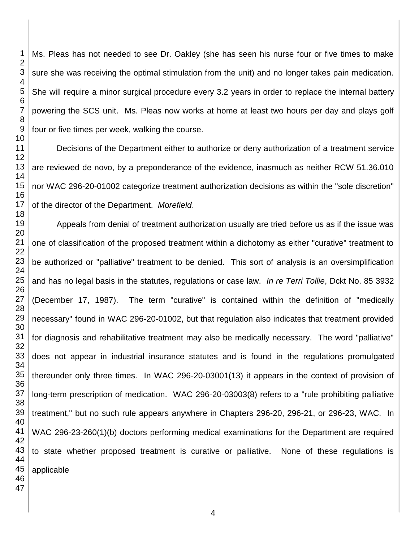Ms. Pleas has not needed to see Dr. Oakley (she has seen his nurse four or five times to make sure she was receiving the optimal stimulation from the unit) and no longer takes pain medication. She will require a minor surgical procedure every 3.2 years in order to replace the internal battery powering the SCS unit. Ms. Pleas now works at home at least two hours per day and plays golf four or five times per week, walking the course.

Decisions of the Department either to authorize or deny authorization of a treatment service are reviewed de novo, by a preponderance of the evidence, inasmuch as neither RCW 51.36.010 nor WAC 296-20-01002 categorize treatment authorization decisions as within the "sole discretion" of the director of the Department. *Morefield*.

Appeals from denial of treatment authorization usually are tried before us as if the issue was one of classification of the proposed treatment within a dichotomy as either "curative" treatment to be authorized or "palliative" treatment to be denied. This sort of analysis is an oversimplification and has no legal basis in the statutes, regulations or case law. *In re Terri Tollie*, Dckt No. 85 3932 (December 17, 1987). The term "curative" is contained within the definition of "medically necessary" found in WAC 296-20-01002, but that regulation also indicates that treatment provided for diagnosis and rehabilitative treatment may also be medically necessary. The word "palliative" does not appear in industrial insurance statutes and is found in the regulations promulgated thereunder only three times. In WAC 296-20-03001(13) it appears in the context of provision of long-term prescription of medication. WAC 296-20-03003(8) refers to a "rule prohibiting palliative treatment," but no such rule appears anywhere in Chapters 296-20, 296-21, or 296-23, WAC. In WAC 296-23-260(1)(b) doctors performing medical examinations for the Department are required to state whether proposed treatment is curative or palliative. None of these regulations is applicable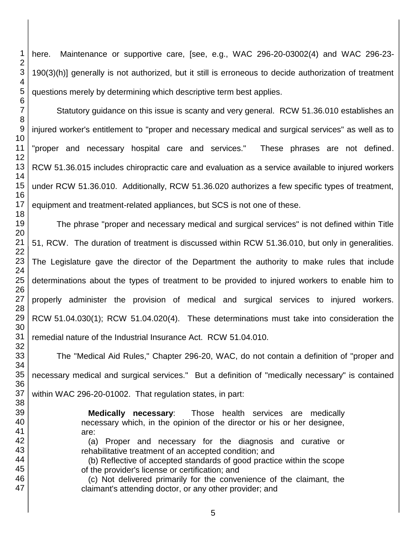here. Maintenance or supportive care, [see, e.g., WAC 296-20-03002(4) and WAC 296-23- 190(3)(h)] generally is not authorized, but it still is erroneous to decide authorization of treatment questions merely by determining which descriptive term best applies.

Statutory guidance on this issue is scanty and very general. RCW 51.36.010 establishes an injured worker's entitlement to "proper and necessary medical and surgical services" as well as to "proper and necessary hospital care and services." These phrases are not defined. RCW 51.36.015 includes chiropractic care and evaluation as a service available to injured workers under RCW 51.36.010. Additionally, RCW 51.36.020 authorizes a few specific types of treatment, equipment and treatment-related appliances, but SCS is not one of these.

The phrase "proper and necessary medical and surgical services" is not defined within Title 51, RCW. The duration of treatment is discussed within RCW 51.36.010, but only in generalities. The Legislature gave the director of the Department the authority to make rules that include determinations about the types of treatment to be provided to injured workers to enable him to properly administer the provision of medical and surgical services to injured workers. RCW 51.04.030(1); RCW 51.04.020(4). These determinations must take into consideration the remedial nature of the Industrial Insurance Act. RCW 51.04.010.

The "Medical Aid Rules," Chapter 296-20, WAC, do not contain a definition of "proper and necessary medical and surgical services." But a definition of "medically necessary" is contained within WAC 296-20-01002. That regulation states, in part:

> **Medically necessary**: Those health services are medically necessary which, in the opinion of the director or his or her designee, are:

> (a) Proper and necessary for the diagnosis and curative or rehabilitative treatment of an accepted condition; and

> (b) Reflective of accepted standards of good practice within the scope of the provider's license or certification; and

> (c) Not delivered primarily for the convenience of the claimant, the claimant's attending doctor, or any other provider; and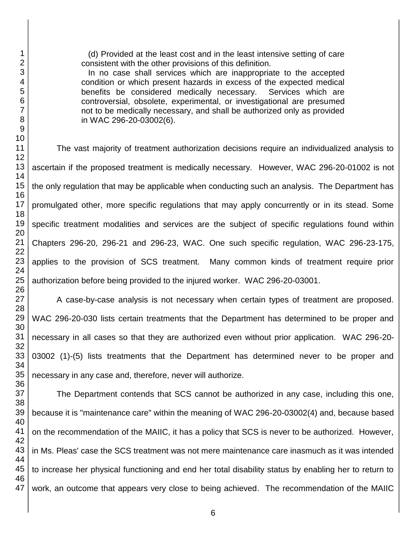(d) Provided at the least cost and in the least intensive setting of care consistent with the other provisions of this definition.

 In no case shall services which are inappropriate to the accepted condition or which present hazards in excess of the expected medical benefits be considered medically necessary. Services which are controversial, obsolete, experimental, or investigational are presumed not to be medically necessary, and shall be authorized only as provided in WAC 296-20-03002(6).

The vast majority of treatment authorization decisions require an individualized analysis to ascertain if the proposed treatment is medically necessary. However, WAC 296-20-01002 is not the only regulation that may be applicable when conducting such an analysis. The Department has promulgated other, more specific regulations that may apply concurrently or in its stead. Some specific treatment modalities and services are the subject of specific regulations found within Chapters 296-20, 296-21 and 296-23, WAC. One such specific regulation, WAC 296-23-175, applies to the provision of SCS treatment. Many common kinds of treatment require prior authorization before being provided to the injured worker. WAC 296-20-03001.

A case-by-case analysis is not necessary when certain types of treatment are proposed. WAC 296-20-030 lists certain treatments that the Department has determined to be proper and necessary in all cases so that they are authorized even without prior application. WAC 296-20- 03002 (1)-(5) lists treatments that the Department has determined never to be proper and necessary in any case and, therefore, never will authorize.

The Department contends that SCS cannot be authorized in any case, including this one, because it is "maintenance care" within the meaning of WAC 296-20-03002(4) and, because based on the recommendation of the MAIIC, it has a policy that SCS is never to be authorized. However, in Ms. Pleas' case the SCS treatment was not mere maintenance care inasmuch as it was intended to increase her physical functioning and end her total disability status by enabling her to return to work, an outcome that appears very close to being achieved. The recommendation of the MAIIC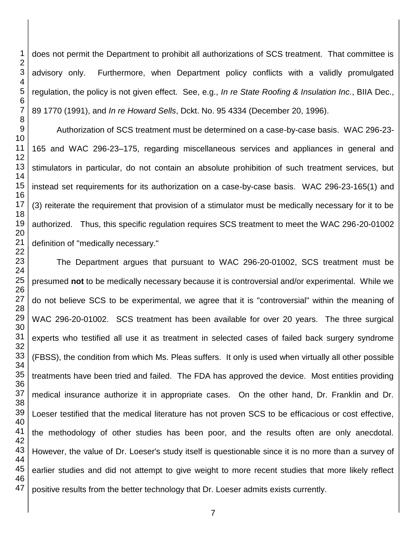does not permit the Department to prohibit all authorizations of SCS treatment. That committee is advisory only. Furthermore, when Department policy conflicts with a validly promulgated regulation, the policy is not given effect. See, e.g., *In re State Roofing & Insulation Inc.*, BIIA Dec., 89 1770 (1991), and *In re Howard Sells*, Dckt. No. 95 4334 (December 20, 1996).

Authorization of SCS treatment must be determined on a case-by-case basis. WAC 296-23- 165 and WAC 296-23–175, regarding miscellaneous services and appliances in general and stimulators in particular, do not contain an absolute prohibition of such treatment services, but instead set requirements for its authorization on a case-by-case basis. WAC 296-23-165(1) and (3) reiterate the requirement that provision of a stimulator must be medically necessary for it to be authorized. Thus, this specific regulation requires SCS treatment to meet the WAC 296-20-01002 definition of "medically necessary."

The Department argues that pursuant to WAC 296-20-01002, SCS treatment must be presumed **not** to be medically necessary because it is controversial and/or experimental. While we do not believe SCS to be experimental, we agree that it is "controversial" within the meaning of WAC 296-20-01002. SCS treatment has been available for over 20 years. The three surgical experts who testified all use it as treatment in selected cases of failed back surgery syndrome (FBSS), the condition from which Ms. Pleas suffers. It only is used when virtually all other possible treatments have been tried and failed. The FDA has approved the device. Most entities providing medical insurance authorize it in appropriate cases. On the other hand, Dr. Franklin and Dr. Loeser testified that the medical literature has not proven SCS to be efficacious or cost effective, the methodology of other studies has been poor, and the results often are only anecdotal. However, the value of Dr. Loeser's study itself is questionable since it is no more than a survey of earlier studies and did not attempt to give weight to more recent studies that more likely reflect positive results from the better technology that Dr. Loeser admits exists currently.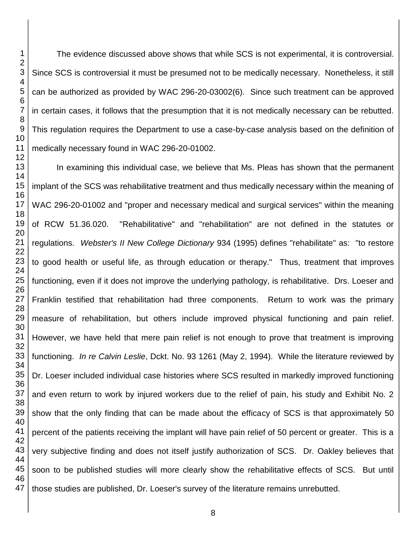The evidence discussed above shows that while SCS is not experimental, it is controversial. Since SCS is controversial it must be presumed not to be medically necessary. Nonetheless, it still can be authorized as provided by WAC 296-20-03002(6). Since such treatment can be approved in certain cases, it follows that the presumption that it is not medically necessary can be rebutted. This regulation requires the Department to use a case-by-case analysis based on the definition of medically necessary found in WAC 296-20-01002.

In examining this individual case, we believe that Ms. Pleas has shown that the permanent implant of the SCS was rehabilitative treatment and thus medically necessary within the meaning of WAC 296-20-01002 and "proper and necessary medical and surgical services" within the meaning of RCW 51.36.020. "Rehabilitative" and "rehabilitation" are not defined in the statutes or regulations. *Webster's II New College Dictionary* 934 (1995) defines "rehabilitate" as: "to restore to good health or useful life, as through education or therapy." Thus, treatment that improves functioning, even if it does not improve the underlying pathology, is rehabilitative. Drs. Loeser and Franklin testified that rehabilitation had three components. Return to work was the primary measure of rehabilitation, but others include improved physical functioning and pain relief. However, we have held that mere pain relief is not enough to prove that treatment is improving functioning. *In re Calvin Leslie*, Dckt. No. 93 1261 (May 2, 1994). While the literature reviewed by Dr. Loeser included individual case histories where SCS resulted in markedly improved functioning and even return to work by injured workers due to the relief of pain, his study and Exhibit No. 2 show that the only finding that can be made about the efficacy of SCS is that approximately 50 percent of the patients receiving the implant will have pain relief of 50 percent or greater. This is a very subjective finding and does not itself justify authorization of SCS. Dr. Oakley believes that soon to be published studies will more clearly show the rehabilitative effects of SCS. But until those studies are published, Dr. Loeser's survey of the literature remains unrebutted.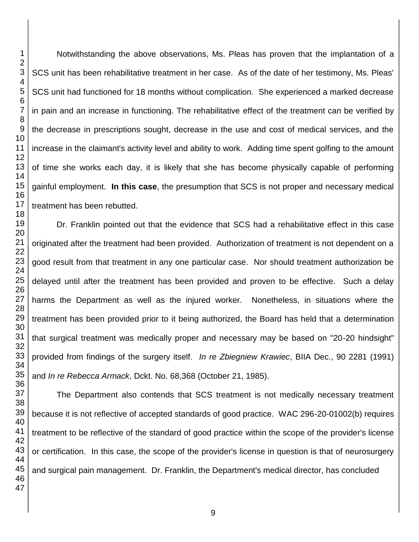Notwithstanding the above observations, Ms. Pleas has proven that the implantation of a SCS unit has been rehabilitative treatment in her case. As of the date of her testimony, Ms. Pleas' SCS unit had functioned for 18 months without complication. She experienced a marked decrease in pain and an increase in functioning. The rehabilitative effect of the treatment can be verified by the decrease in prescriptions sought, decrease in the use and cost of medical services, and the increase in the claimant's activity level and ability to work. Adding time spent golfing to the amount of time she works each day, it is likely that she has become physically capable of performing gainful employment. **In this case**, the presumption that SCS is not proper and necessary medical treatment has been rebutted.

Dr. Franklin pointed out that the evidence that SCS had a rehabilitative effect in this case originated after the treatment had been provided. Authorization of treatment is not dependent on a good result from that treatment in any one particular case. Nor should treatment authorization be delayed until after the treatment has been provided and proven to be effective. Such a delay harms the Department as well as the injured worker. Nonetheless, in situations where the treatment has been provided prior to it being authorized, the Board has held that a determination that surgical treatment was medically proper and necessary may be based on "20-20 hindsight" provided from findings of the surgery itself. *In re Zbiegniew Krawiec*, BIIA Dec., 90 2281 (1991) and *In re Rebecca Armack*, Dckt. No. 68,368 (October 21, 1985).

The Department also contends that SCS treatment is not medically necessary treatment because it is not reflective of accepted standards of good practice. WAC 296-20-01002(b) requires treatment to be reflective of the standard of good practice within the scope of the provider's license or certification. In this case, the scope of the provider's license in question is that of neurosurgery and surgical pain management. Dr. Franklin, the Department's medical director, has concluded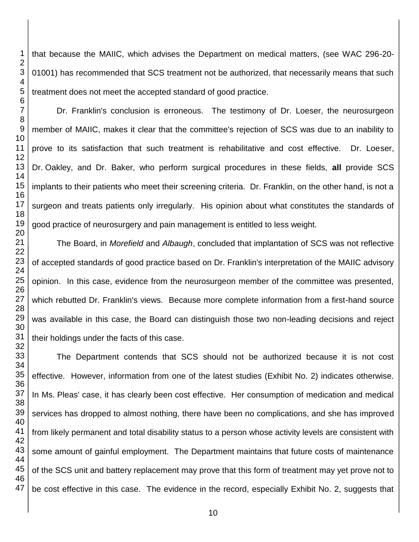that because the MAIIC, which advises the Department on medical matters, (see WAC 296-20- 01001) has recommended that SCS treatment not be authorized, that necessarily means that such treatment does not meet the accepted standard of good practice.

Dr. Franklin's conclusion is erroneous. The testimony of Dr. Loeser, the neurosurgeon member of MAIIC, makes it clear that the committee's rejection of SCS was due to an inability to prove to its satisfaction that such treatment is rehabilitative and cost effective. Dr. Loeser, Dr. Oakley, and Dr. Baker, who perform surgical procedures in these fields, **all** provide SCS implants to their patients who meet their screening criteria. Dr. Franklin, on the other hand, is not a surgeon and treats patients only irregularly. His opinion about what constitutes the standards of good practice of neurosurgery and pain management is entitled to less weight.

The Board, in *Morefield* and *Albaugh*, concluded that implantation of SCS was not reflective of accepted standards of good practice based on Dr. Franklin's interpretation of the MAIIC advisory opinion. In this case, evidence from the neurosurgeon member of the committee was presented, which rebutted Dr. Franklin's views. Because more complete information from a first-hand source was available in this case, the Board can distinguish those two non-leading decisions and reject their holdings under the facts of this case.

The Department contends that SCS should not be authorized because it is not cost effective. However, information from one of the latest studies (Exhibit No. 2) indicates otherwise. In Ms. Pleas' case, it has clearly been cost effective. Her consumption of medication and medical services has dropped to almost nothing, there have been no complications, and she has improved from likely permanent and total disability status to a person whose activity levels are consistent with some amount of gainful employment. The Department maintains that future costs of maintenance of the SCS unit and battery replacement may prove that this form of treatment may yet prove not to be cost effective in this case. The evidence in the record, especially Exhibit No. 2, suggests that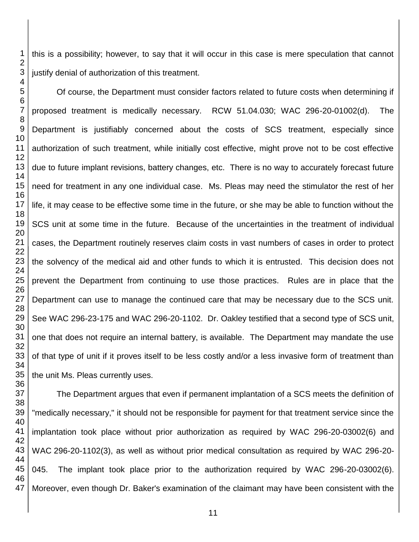this is a possibility; however, to say that it will occur in this case is mere speculation that cannot justify denial of authorization of this treatment.

Of course, the Department must consider factors related to future costs when determining if proposed treatment is medically necessary. RCW 51.04.030; WAC 296-20-01002(d). The Department is justifiably concerned about the costs of SCS treatment, especially since authorization of such treatment, while initially cost effective, might prove not to be cost effective due to future implant revisions, battery changes, etc. There is no way to accurately forecast future need for treatment in any one individual case. Ms. Pleas may need the stimulator the rest of her life, it may cease to be effective some time in the future, or she may be able to function without the SCS unit at some time in the future. Because of the uncertainties in the treatment of individual cases, the Department routinely reserves claim costs in vast numbers of cases in order to protect the solvency of the medical aid and other funds to which it is entrusted. This decision does not prevent the Department from continuing to use those practices. Rules are in place that the Department can use to manage the continued care that may be necessary due to the SCS unit. See WAC 296-23-175 and WAC 296-20-1102. Dr. Oakley testified that a second type of SCS unit, one that does not require an internal battery, is available. The Department may mandate the use of that type of unit if it proves itself to be less costly and/or a less invasive form of treatment than the unit Ms. Pleas currently uses.

The Department argues that even if permanent implantation of a SCS meets the definition of "medically necessary," it should not be responsible for payment for that treatment service since the implantation took place without prior authorization as required by WAC 296-20-03002(6) and WAC 296-20-1102(3), as well as without prior medical consultation as required by WAC 296-20- 045. The implant took place prior to the authorization required by WAC 296-20-03002(6). Moreover, even though Dr. Baker's examination of the claimant may have been consistent with the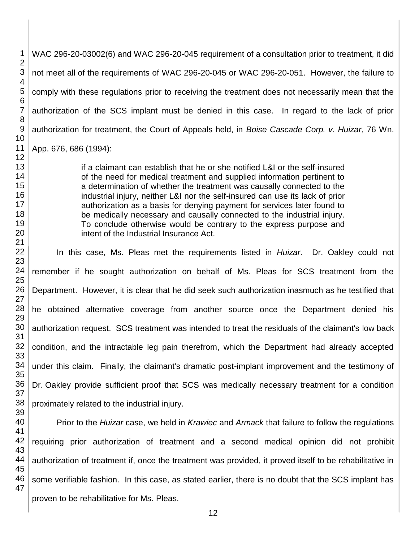WAC 296-20-03002(6) and WAC 296-20-045 requirement of a consultation prior to treatment, it did not meet all of the requirements of WAC 296-20-045 or WAC 296-20-051. However, the failure to comply with these regulations prior to receiving the treatment does not necessarily mean that the authorization of the SCS implant must be denied in this case. In regard to the lack of prior authorization for treatment, the Court of Appeals held, in *Boise Cascade Corp. v. Huizar*, 76 Wn. App. 676, 686 (1994):

if a claimant can establish that he or she notified L&I or the self-insured of the need for medical treatment and supplied information pertinent to a determination of whether the treatment was causally connected to the industrial injury, neither L&I nor the self-insured can use its lack of prior authorization as a basis for denying payment for services later found to be medically necessary and causally connected to the industrial injury. To conclude otherwise would be contrary to the express purpose and intent of the Industrial Insurance Act.

In this case, Ms. Pleas met the requirements listed in *Huizar*. Dr. Oakley could not remember if he sought authorization on behalf of Ms. Pleas for SCS treatment from the Department. However, it is clear that he did seek such authorization inasmuch as he testified that he obtained alternative coverage from another source once the Department denied his authorization request. SCS treatment was intended to treat the residuals of the claimant's low back condition, and the intractable leg pain therefrom, which the Department had already accepted under this claim. Finally, the claimant's dramatic post-implant improvement and the testimony of Dr. Oakley provide sufficient proof that SCS was medically necessary treatment for a condition proximately related to the industrial injury.

 Prior to the *Huizar* case, we held in *Krawiec* and *Armack* that failure to follow the regulations requiring prior authorization of treatment and a second medical opinion did not prohibit authorization of treatment if, once the treatment was provided, it proved itself to be rehabilitative in some verifiable fashion. In this case, as stated earlier, there is no doubt that the SCS implant has proven to be rehabilitative for Ms. Pleas.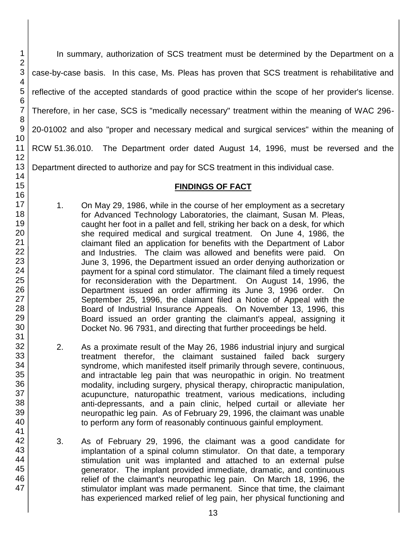In summary, authorization of SCS treatment must be determined by the Department on a case-by-case basis. In this case, Ms. Pleas has proven that SCS treatment is rehabilitative and reflective of the accepted standards of good practice within the scope of her provider's license. Therefore, in her case, SCS is "medically necessary" treatment within the meaning of WAC 296- 20-01002 and also "proper and necessary medical and surgical services" within the meaning of RCW 51.36.010. The Department order dated August 14, 1996, must be reversed and the Department directed to authorize and pay for SCS treatment in this individual case.

## **FINDINGS OF FACT**

- 1. On May 29, 1986, while in the course of her employment as a secretary for Advanced Technology Laboratories, the claimant, Susan M. Pleas, caught her foot in a pallet and fell, striking her back on a desk, for which she required medical and surgical treatment. On June 4, 1986, the claimant filed an application for benefits with the Department of Labor and Industries. The claim was allowed and benefits were paid. On June 3, 1996, the Department issued an order denying authorization or payment for a spinal cord stimulator. The claimant filed a timely request for reconsideration with the Department. On August 14, 1996, the Department issued an order affirming its June 3, 1996 order. On September 25, 1996, the claimant filed a Notice of Appeal with the Board of Industrial Insurance Appeals. On November 13, 1996, this Board issued an order granting the claimant's appeal, assigning it Docket No. 96 7931, and directing that further proceedings be held.
- 2. As a proximate result of the May 26, 1986 industrial injury and surgical treatment therefor, the claimant sustained failed back surgery syndrome, which manifested itself primarily through severe, continuous, and intractable leg pain that was neuropathic in origin. No treatment modality, including surgery, physical therapy, chiropractic manipulation, acupuncture, naturopathic treatment, various medications, including anti-depressants, and a pain clinic, helped curtail or alleviate her neuropathic leg pain. As of February 29, 1996, the claimant was unable to perform any form of reasonably continuous gainful employment.
- 3. As of February 29, 1996, the claimant was a good candidate for implantation of a spinal column stimulator. On that date, a temporary stimulation unit was implanted and attached to an external pulse generator. The implant provided immediate, dramatic, and continuous relief of the claimant's neuropathic leg pain. On March 18, 1996, the stimulator implant was made permanent. Since that time, the claimant has experienced marked relief of leg pain, her physical functioning and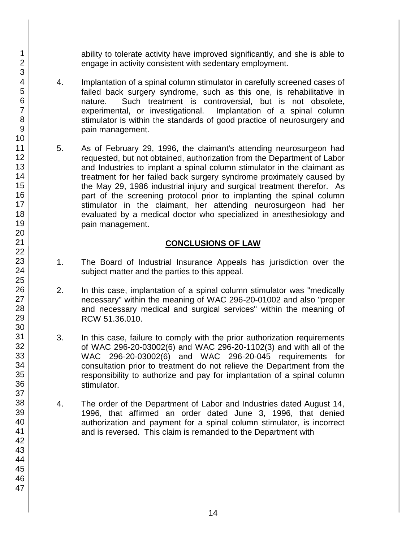ability to tolerate activity have improved significantly, and she is able to engage in activity consistent with sedentary employment.

- 4. Implantation of a spinal column stimulator in carefully screened cases of failed back surgery syndrome, such as this one, is rehabilitative in nature. Such treatment is controversial, but is not obsolete, experimental, or investigational. Implantation of a spinal column stimulator is within the standards of good practice of neurosurgery and pain management.
- 5. As of February 29, 1996, the claimant's attending neurosurgeon had requested, but not obtained, authorization from the Department of Labor and Industries to implant a spinal column stimulator in the claimant as treatment for her failed back surgery syndrome proximately caused by the May 29, 1986 industrial injury and surgical treatment therefor. As part of the screening protocol prior to implanting the spinal column stimulator in the claimant, her attending neurosurgeon had her evaluated by a medical doctor who specialized in anesthesiology and pain management.

# **CONCLUSIONS OF LAW**

- 1. The Board of Industrial Insurance Appeals has jurisdiction over the subject matter and the parties to this appeal.
- 2. In this case, implantation of a spinal column stimulator was "medically necessary" within the meaning of WAC 296-20-01002 and also "proper and necessary medical and surgical services" within the meaning of RCW 51.36.010.
- 3. In this case, failure to comply with the prior authorization requirements of WAC 296-20-03002(6) and WAC 296-20-1102(3) and with all of the WAC 296-20-03002(6) and WAC 296-20-045 requirements for consultation prior to treatment do not relieve the Department from the responsibility to authorize and pay for implantation of a spinal column stimulator.
- 4. The order of the Department of Labor and Industries dated August 14, 1996, that affirmed an order dated June 3, 1996, that denied authorization and payment for a spinal column stimulator, is incorrect and is reversed. This claim is remanded to the Department with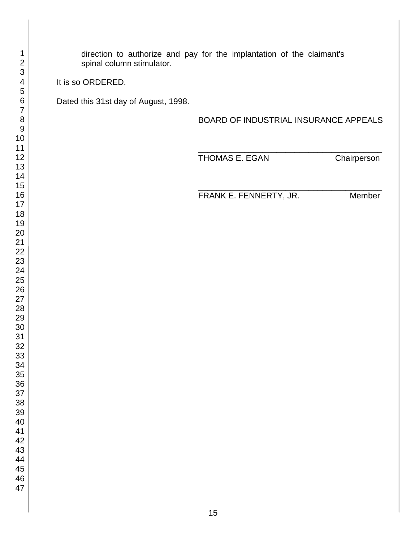direction to authorize and pay for the implantation of the claimant's spinal column stimulator.

It is so ORDERED.

Dated this 31st day of August, 1998.

BOARD OF INDUSTRIAL INSURANCE APPEALS

\_\_\_\_\_\_\_\_\_\_\_\_\_\_\_\_\_\_\_\_\_\_\_\_\_\_\_\_\_\_\_\_\_\_\_\_\_\_\_\_ THOMAS E. EGAN Chairperson

\_\_\_\_\_\_\_\_\_\_\_\_\_\_\_\_\_\_\_\_\_\_\_\_\_\_\_\_\_\_\_\_\_\_\_\_\_\_\_\_ FRANK E. FENNERTY, JR. Member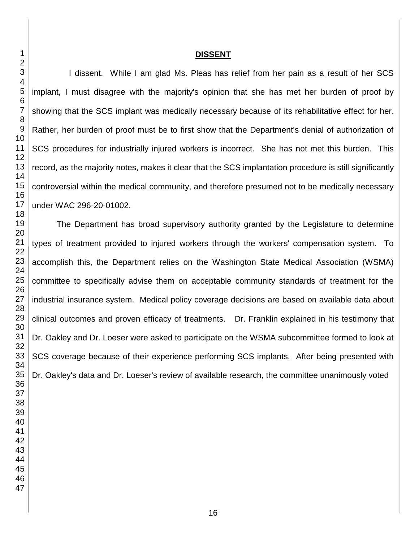### **DISSENT**

I dissent. While I am glad Ms. Pleas has relief from her pain as a result of her SCS implant, I must disagree with the majority's opinion that she has met her burden of proof by showing that the SCS implant was medically necessary because of its rehabilitative effect for her. Rather, her burden of proof must be to first show that the Department's denial of authorization of SCS procedures for industrially injured workers is incorrect. She has not met this burden. This record, as the majority notes, makes it clear that the SCS implantation procedure is still significantly controversial within the medical community, and therefore presumed not to be medically necessary under WAC 296-20-01002.

The Department has broad supervisory authority granted by the Legislature to determine types of treatment provided to injured workers through the workers' compensation system. To accomplish this, the Department relies on the Washington State Medical Association (WSMA) committee to specifically advise them on acceptable community standards of treatment for the industrial insurance system. Medical policy coverage decisions are based on available data about clinical outcomes and proven efficacy of treatments. Dr. Franklin explained in his testimony that Dr. Oakley and Dr. Loeser were asked to participate on the WSMA subcommittee formed to look at SCS coverage because of their experience performing SCS implants. After being presented with Dr. Oakley's data and Dr. Loeser's review of available research, the committee unanimously voted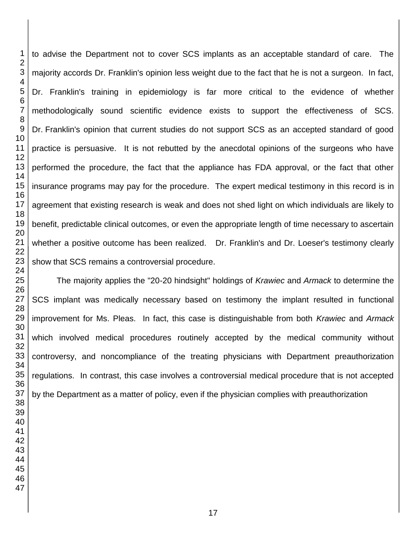to advise the Department not to cover SCS implants as an acceptable standard of care. The majority accords Dr. Franklin's opinion less weight due to the fact that he is not a surgeon. In fact, Dr. Franklin's training in epidemiology is far more critical to the evidence of whether methodologically sound scientific evidence exists to support the effectiveness of SCS. Dr. Franklin's opinion that current studies do not support SCS as an accepted standard of good practice is persuasive. It is not rebutted by the anecdotal opinions of the surgeons who have performed the procedure, the fact that the appliance has FDA approval, or the fact that other insurance programs may pay for the procedure. The expert medical testimony in this record is in agreement that existing research is weak and does not shed light on which individuals are likely to benefit, predictable clinical outcomes, or even the appropriate length of time necessary to ascertain whether a positive outcome has been realized. Dr. Franklin's and Dr. Loeser's testimony clearly show that SCS remains a controversial procedure.

The majority applies the "20-20 hindsight" holdings of *Krawiec* and *Armack* to determine the SCS implant was medically necessary based on testimony the implant resulted in functional improvement for Ms. Pleas. In fact, this case is distinguishable from both *Krawiec* and *Armack* which involved medical procedures routinely accepted by the medical community without controversy, and noncompliance of the treating physicians with Department preauthorization regulations. In contrast, this case involves a controversial medical procedure that is not accepted by the Department as a matter of policy, even if the physician complies with preauthorization